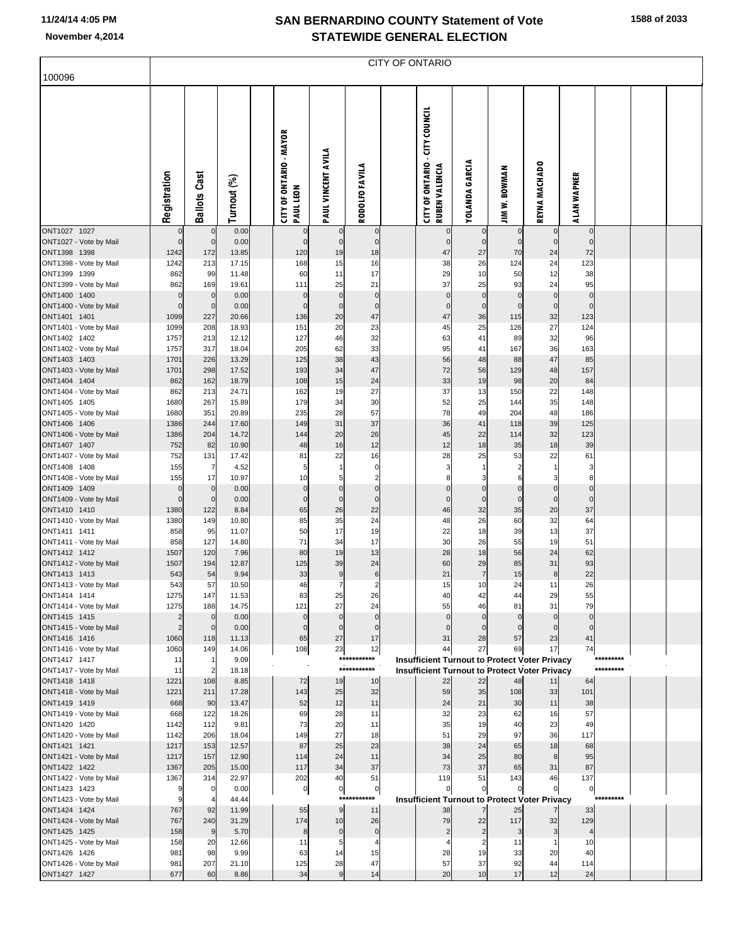**1588 of 2033**

|                                        | <b>CITY OF ONTARIO</b>  |                            |                |  |                                             |                        |                             |  |                                                                   |                             |                             |                                                      |                            |           |  |  |
|----------------------------------------|-------------------------|----------------------------|----------------|--|---------------------------------------------|------------------------|-----------------------------|--|-------------------------------------------------------------------|-----------------------------|-----------------------------|------------------------------------------------------|----------------------------|-----------|--|--|
| 100096                                 |                         |                            |                |  |                                             |                        |                             |  |                                                                   |                             |                             |                                                      |                            |           |  |  |
|                                        | Registration            | <b>Ballots Cast</b>        | Turnout (%)    |  | <b>CITY OF ONTARIO - MAYOR</b><br>PAUL LEON | PAUL VINCENT AVILA     | RODOLFO FAVILA              |  | - CITY COUNCIL<br><b>CITY OF ONTARIO</b><br><b>RUBEN VALENCIA</b> | <b>YOLANDA GARCIA</b>       | <b>JIM W. BOWMAN</b>        | REYNA MACHADO                                        | ALAN WAPNER                |           |  |  |
| ONT1027 1027<br>ONT1027 - Vote by Mail | $\mathbf 0$<br>$\Omega$ | $\mathbf 0$<br>$\mathbf 0$ | 0.00<br>0.00   |  | 0<br>$\pmb{0}$                              | $\mathbf 0$            | $\mathbf 0$<br>$\mathbf 0$  |  | $\mathbf 0$<br>$\mathbf 0$                                        | $\mathbf 0$<br>$\mathbf{0}$ | $\mathbf 0$<br>$\mathbf{0}$ | $\mathbf 0$<br>$\overline{0}$                        | $\mathbf 0$<br>$\mathbf 0$ |           |  |  |
| ONT1398 1398                           | 1242                    | 172                        | 13.85          |  | 120                                         | 19                     | 18                          |  | 47                                                                | 27                          | 70                          | 24                                                   | 72                         |           |  |  |
| ONT1398 - Vote by Mail                 | 1242                    | 213                        | 17.15          |  | 168                                         | 15                     | 16                          |  | 38                                                                | 26                          | 124                         | 24                                                   | 123                        |           |  |  |
| ONT1399 1399                           | 862                     | 99                         | 11.48          |  | 60                                          | 11                     | 17                          |  | 29                                                                | 10                          | 50                          | 12                                                   | 38                         |           |  |  |
| ONT1399 - Vote by Mail<br>ONT1400 1400 | 862<br>$\mathbf 0$      | 169<br>$\mathbf 0$         | 19.61<br>0.00  |  | 111<br>$\pmb{0}$                            | 25<br>$\mathbf 0$      | 21<br>$\bf 0$               |  | 37<br>$\mathbf 0$                                                 | 25<br>$\mathbf 0$           | 93<br>$\mathbf 0$           | 24<br>$\overline{0}$                                 | 95<br>$\mathbf 0$          |           |  |  |
| ONT1400 - Vote by Mail                 | $\mathbf 0$             | $\pmb{0}$                  | 0.00           |  | $\pmb{0}$                                   | $\mathbf 0$            | $\bf 0$                     |  | $\mathbf 0$                                                       | $\mathbf 0$                 | 0                           | $\overline{0}$                                       | $\Omega$                   |           |  |  |
| ONT1401 1401                           | 1099                    | 227                        | 20.66          |  | 136                                         | 20                     | 47                          |  | 47                                                                | 36                          | 115                         | 32                                                   | 123                        |           |  |  |
| ONT1401 - Vote by Mail                 | 1099                    | 208                        | 18.93          |  | 151                                         | 20                     | 23                          |  | 45                                                                | 25                          | 126                         | 27                                                   | 124                        |           |  |  |
| ONT1402 1402                           | 1757                    | 213                        | 12.12          |  | 127                                         | 46                     | 32                          |  | 63                                                                | 41                          | 89                          | 32                                                   | 96                         |           |  |  |
| ONT1402 - Vote by Mail<br>ONT1403 1403 | 1757<br>1701            | 317<br>226                 | 18.04<br>13.29 |  | 205<br>125                                  | 62<br>38               | 33<br>43                    |  | 95<br>56                                                          | 41<br>48                    | 167<br>88                   | 36<br>47                                             | 163<br>85                  |           |  |  |
| ONT1403 - Vote by Mail                 | 1701                    | 298                        | 17.52          |  | 193                                         | 34                     | 47                          |  | 72                                                                | 56                          | 129                         | 48                                                   | 157                        |           |  |  |
| ONT1404 1404                           | 862                     | 162                        | 18.79          |  | 108                                         | 15                     | 24                          |  | 33                                                                | 19                          | 98                          | 20                                                   | 84                         |           |  |  |
| ONT1404 - Vote by Mail                 | 862                     | 213                        | 24.71          |  | 162                                         | 19                     | 27                          |  | 37                                                                | 13                          | 150                         | 22                                                   | 148                        |           |  |  |
| ONT1405 1405                           | 1680                    | 267                        | 15.89          |  | 179                                         | 34                     | 30                          |  | 52                                                                | 25                          | 144                         | 35                                                   | 148                        |           |  |  |
| ONT1405 - Vote by Mail<br>ONT1406 1406 | 1680<br>1386            | 351<br>244                 | 20.89<br>17.60 |  | 235<br>149                                  | 28<br>31               | 57<br>37                    |  | 78<br>36                                                          | 49<br>41                    | 204<br>118                  | 48<br>39                                             | 186<br>125                 |           |  |  |
| ONT1406 - Vote by Mail                 | 1386                    | 204                        | 14.72          |  | 144                                         | 20                     | 26                          |  | 45                                                                | 22                          | 114                         | 32                                                   | 123                        |           |  |  |
| ONT1407 1407                           | 752                     | 82                         | 10.90          |  | 48                                          | 16                     | 12                          |  | 12                                                                | 18                          | 35                          | 18                                                   | 39                         |           |  |  |
| ONT1407 - Vote by Mail                 | 752                     | 131                        | 17.42          |  | 81                                          | 22                     | 16                          |  | 28                                                                | 25                          | 53                          | 22                                                   | 61                         |           |  |  |
| ONT1408 1408<br>ONT1408 - Vote by Mail | 155<br>155              | $\overline{7}$<br>17       | 4.52<br>10.97  |  | 5<br>10                                     | $\mathbf{1}$<br>5      | $\pmb{0}$<br>$\overline{2}$ |  | 3<br>8                                                            | 1<br>3                      | 6                           | 1<br>3                                               | 3<br>8                     |           |  |  |
| ONT1409 1409                           | O                       | $\mathbf 0$                | 0.00           |  | $\pmb{0}$                                   | $\pmb{0}$              | $\bf 0$                     |  | $\mathbf 0$                                                       | $\mathbf 0$                 | $\mathbf 0$                 | $\overline{0}$                                       | $\mathbf 0$                |           |  |  |
| ONT1409 - Vote by Mail                 | $\mathbf 0$             | $\mathbf 0$                | 0.00           |  | $\pmb{0}$                                   | $\mathbf 0$            | $\bf 0$                     |  | $\mathbf 0$                                                       | $\mathbf 0$                 | $\mathbf 0$                 | $\overline{0}$                                       | $\mathbf 0$                |           |  |  |
| ONT1410 1410                           | 1380                    | 122                        | 8.84           |  | 65                                          | 26                     | 22                          |  | 46                                                                | 32                          | 35                          | 20                                                   | 37                         |           |  |  |
| ONT1410 - Vote by Mail<br>ONT1411 1411 | 1380<br>858             | 149<br>95                  | 10.80<br>11.07 |  | 85<br>50                                    | 35<br>17               | 24<br>19                    |  | 48<br>22                                                          | 26<br>18                    | 60<br>39                    | 32<br>13                                             | 64<br>37                   |           |  |  |
| ONT1411 - Vote by Mail                 | 858                     | 127                        | 14.80          |  | 71                                          | 34                     | 17                          |  | 30                                                                | 26                          | 55                          | 19                                                   | 51                         |           |  |  |
| ONT1412 1412                           | 1507                    | 120                        | 7.96           |  | 80                                          | 19                     | 13                          |  | 28                                                                | 18                          | 56                          | 24                                                   | 62                         |           |  |  |
| ONT1412 - Vote by Mail                 | 1507                    | 194                        | 12.87          |  | 125                                         | 39                     | 24                          |  | 60                                                                | 29                          | 85                          | 31                                                   | 93                         |           |  |  |
| ONT1413 1413                           | 543                     | 54                         | 9.94           |  | 33                                          | 9                      | $6\phantom{1}6$             |  | 21                                                                | $\overline{7}$              | 15                          | 8                                                    | 22                         |           |  |  |
| ONT1413 - Vote by Mail<br>ONT1414 1414 | 543<br>1275             | 57<br>147                  | 10.50<br>11.53 |  | 46<br>83                                    | $\overline{7}$<br>25   | $\overline{c}$<br>26        |  | 15<br>40                                                          | 10<br>42                    | 24<br>44                    | 11<br>29                                             | 26<br>55                   |           |  |  |
| ONT1414 - Vote by Mail                 | 1275                    | 188                        | 14.75          |  | 121                                         | 27                     | 24                          |  | 55                                                                | 46                          | 81                          | 31                                                   | 79                         |           |  |  |
| ONT1415 1415                           | 2                       | $\mathbf 0$                | 0.00           |  | $\pmb{0}$                                   | $\mathbf 0$            | $\mathbf 0$                 |  | $\mathbf 0$                                                       | $\Omega$                    | $\mathbf 0$                 | $\overline{0}$                                       | $\mathbf{0}$               |           |  |  |
| ONT1415 - Vote by Mail                 | $\overline{2}$          | $\mathbf 0$                | 0.00           |  | $\mathbf 0$                                 | $\mathbf 0$            | $\mathbf 0$                 |  | $\mathbf 0$                                                       | $\Omega$                    |                             | $\mathbf 0$                                          | $\Omega$                   |           |  |  |
| ONT1416 1416<br>ONT1416 - Vote by Mail | 1060<br>1060            | 118<br>149                 | 11.13<br>14.06 |  | 65<br>108                                   | 27<br>23               | 17<br>12                    |  | 31<br>44                                                          | 28<br>27                    | 57<br>69                    | 23<br>17                                             | 41<br>74                   |           |  |  |
| ONT1417 1417                           | 11                      | -1                         | 9.09           |  |                                             |                        | ***********                 |  |                                                                   |                             |                             | <b>Insufficient Turnout to Protect Voter Privacy</b> |                            |           |  |  |
| ONT1417 - Vote by Mail                 | 11                      | $\overline{2}$             | 18.18          |  |                                             |                        | ***********                 |  |                                                                   |                             |                             | <b>Insufficient Turnout to Protect Voter Privacy</b> |                            | ********* |  |  |
| ONT1418 1418                           | 1221                    | 108                        | 8.85           |  | 72                                          | 19                     | 10                          |  | 22                                                                | 22                          | 48                          | 11                                                   | 64                         |           |  |  |
| ONT1418 - Vote by Mail<br>ONT1419 1419 | 1221<br>668             | 211<br>90                  | 17.28<br>13.47 |  | 143<br>52                                   | 25<br>12               | 32<br>11                    |  | 59<br>24                                                          | 35<br>21                    | 108<br>30                   | 33<br>11                                             | 101<br>38                  |           |  |  |
| ONT1419 - Vote by Mail                 | 668                     | 122                        | 18.26          |  | 69                                          | 28                     | 11                          |  | 32                                                                | 23                          | 62                          | 16                                                   | 57                         |           |  |  |
| ONT1420 1420                           | 1142                    | 112                        | 9.81           |  | 73                                          | 20                     | 11                          |  | 35                                                                | 19                          | 40                          | 23                                                   | 49                         |           |  |  |
| ONT1420 - Vote by Mail                 | 1142                    | 206                        | 18.04          |  | 149                                         | 27                     | 18                          |  | 51                                                                | 29                          | 97                          | 36                                                   | 117                        |           |  |  |
| ONT1421 1421                           | 1217                    | 153                        | 12.57          |  | 87                                          | 25                     | 23                          |  | 38                                                                | 24                          | 65                          | 18                                                   | 68                         |           |  |  |
| ONT1421 - Vote by Mail<br>ONT1422 1422 | 1217<br>1367            | 157<br>205                 | 12.90<br>15.00 |  | 114<br>117                                  | 24<br>34               | 11<br>37                    |  | 34<br>73                                                          | 25<br>37                    | 80<br>65                    | 8<br>31                                              | 95<br>87                   |           |  |  |
| ONT1422 - Vote by Mail                 | 1367                    | 314                        | 22.97          |  | 202                                         | 40                     | 51                          |  | 119                                                               | 51                          | 143                         | 46                                                   | 137                        |           |  |  |
| ONT1423 1423                           | 9                       | 0                          | 0.00           |  | $\overline{0}$                              | $\pmb{0}$              | $\overline{0}$              |  | $\Omega$                                                          | 0                           |                             | $\overline{0}$                                       | 0                          |           |  |  |
| ONT1423 - Vote by Mail                 | 9                       | 4                          | 44.44          |  |                                             | $***$                  | ****                        |  |                                                                   |                             |                             | <b>Insufficient Turnout to Protect Voter Privacy</b> |                            | ********* |  |  |
| ONT1424 1424<br>ONT1424 - Vote by Mail | 767<br>767              | 92<br>240                  | 11.99<br>31.29 |  | 55<br>174                                   | $\boldsymbol{9}$<br>10 | 11<br>26                    |  | 38<br>79                                                          | 22                          | 25<br>117                   | 32                                                   | 33<br>129                  |           |  |  |
| ONT1425 1425                           | 158                     | 9                          | 5.70           |  | 8                                           | $\bf{0}$               | $\pmb{0}$                   |  | $\overline{2}$                                                    | $\overline{2}$              | 3                           | $\overline{3}$                                       | $\overline{4}$             |           |  |  |
| ONT1425 - Vote by Mail                 | 158                     | 20                         | 12.66          |  | 11                                          | 5                      | $\overline{4}$              |  | 4                                                                 | $\overline{2}$              | 11                          | 1                                                    | 10                         |           |  |  |
| ONT1426 1426                           | 981                     | 98                         | 9.99           |  | 63                                          | 14                     | 15                          |  | 28                                                                | 19                          | 33                          | 20                                                   | 40                         |           |  |  |
| ONT1426 - Vote by Mail                 | 981                     | 207                        | 21.10          |  | 125                                         | 28                     | 47                          |  | 57                                                                | 37                          | 92                          | 44                                                   | 114                        |           |  |  |
| ONT1427 1427                           | 677                     | 60                         | 8.86           |  | 34                                          | 9                      | 14                          |  | 20                                                                | 10                          | 17                          | 12                                                   | 24                         |           |  |  |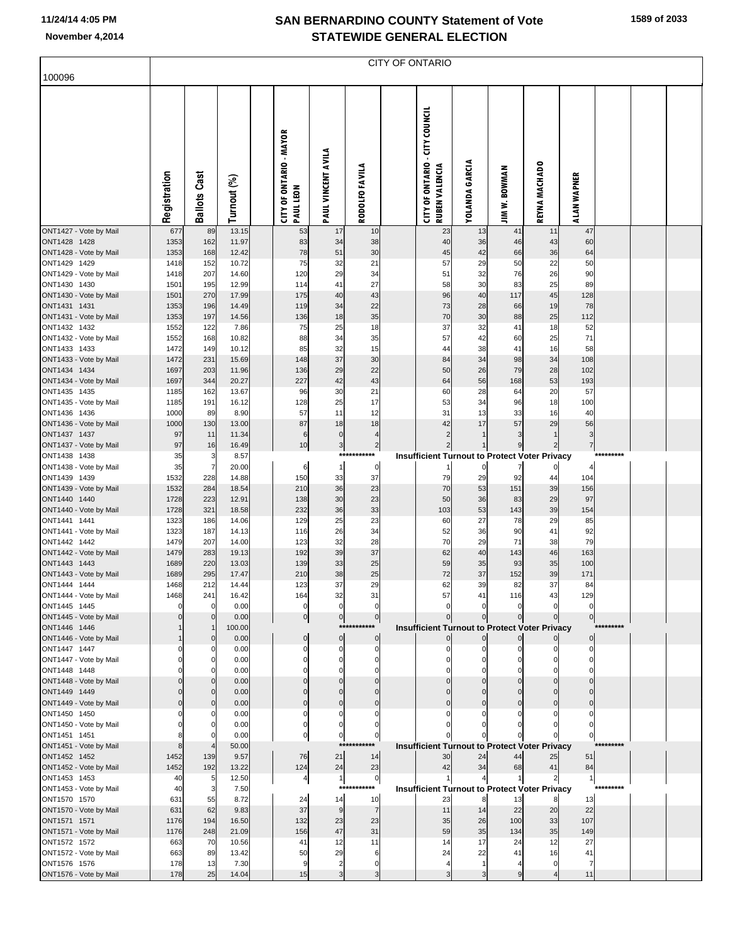|                                        |              |                     |                |                                      |                                |                                   | CITY OF ONTARIO                                                |                       |                                                                        |                                  |                     |            |  |
|----------------------------------------|--------------|---------------------|----------------|--------------------------------------|--------------------------------|-----------------------------------|----------------------------------------------------------------|-----------------------|------------------------------------------------------------------------|----------------------------------|---------------------|------------|--|
| 100096                                 |              |                     |                |                                      |                                |                                   |                                                                |                       |                                                                        |                                  |                     |            |  |
|                                        | Registration | <b>Ballots Cast</b> | Turnout (%)    | CITY OF ONTARIO - MAYOR<br>PAUL LEON | PAUL VINCENT AVILA             | <b>RODOLFO FAVILA</b>             | <b>CITY OF ONTARIO - CITY COUNCIL</b><br><b>RUBEN VALENCIA</b> | <b>YOLANDA GARCIA</b> | <b>JIM W. BOWMAN</b>                                                   | REYNA MACHADO                    | ALAN WAPNER         |            |  |
| ONT1427 - Vote by Mail                 | 677          | 89                  | 13.15          | 53                                   | 17                             | 10                                | 23                                                             | 13                    | 41                                                                     | 11                               | 47                  |            |  |
| ONT1428 1428<br>ONT1428 - Vote by Mail | 1353<br>1353 | 162<br>168          | 11.97<br>12.42 | 83<br>78                             | 34<br>51                       | 38<br>30                          | 40<br>45                                                       | 36<br>42              | 46<br>66                                                               | 43<br>36                         | 60<br>64            |            |  |
| ONT1429 1429                           | 1418         | 152                 | 10.72          | 75                                   | 32                             | 21                                | 57                                                             | 29                    | 50                                                                     | 22                               | 50                  |            |  |
| ONT1429 - Vote by Mail                 | 1418         | 207                 | 14.60          | 120                                  | 29                             | 34                                | 51                                                             | 32                    | 76                                                                     | 26                               | 90                  |            |  |
| ONT1430 1430<br>ONT1430 - Vote by Mail | 1501<br>1501 | 195<br>270          | 12.99<br>17.99 | 114<br>175                           | 41<br>40                       | 27<br>43                          | 58<br>96                                                       | 30<br>40              | 83<br>117                                                              | 25<br>45                         | 89<br>128           |            |  |
| ONT1431 1431                           | 1353         | 196                 | 14.49          | 119                                  | 34                             | 22                                | 73                                                             | 28                    | 66                                                                     | 19                               | 78                  |            |  |
| ONT1431 - Vote by Mail                 | 1353         | 197                 | 14.56          | 136                                  | 18                             | 35                                | 70                                                             | 30                    | 88                                                                     | 25                               | 112                 |            |  |
| ONT1432 1432                           | 1552         | 122                 | 7.86           | 75                                   | 25                             | 18                                | 37                                                             | 32                    | 41                                                                     | 18                               | 52                  |            |  |
| ONT1432 - Vote by Mail<br>ONT1433 1433 | 1552<br>1472 | 168<br>149          | 10.82<br>10.12 | 88<br>85                             | 34<br>32                       | 35<br>15                          | 57<br>44                                                       | 42<br>38              | 60<br>41                                                               | 25<br>16                         | 71<br>58            |            |  |
| ONT1433 - Vote by Mail                 | 1472         | 231                 | 15.69          | 148                                  | 37                             | 30                                | 84                                                             | 34                    | 98                                                                     | 34                               | 108                 |            |  |
| ONT1434 1434                           | 1697         | 203                 | 11.96          | 136                                  | 29                             | 22                                | 50                                                             | 26                    | 79                                                                     | 28                               | 102                 |            |  |
| ONT1434 - Vote by Mail<br>ONT1435 1435 | 1697<br>1185 | 344<br>162          | 20.27<br>13.67 | 227<br>96                            | 42<br>30                       | 43<br>21                          | 64<br>60                                                       | 56<br>28              | 168<br>64                                                              | 53<br>20                         | 193<br>57           |            |  |
| ONT1435 - Vote by Mail                 | 1185         | 191                 | 16.12          | 128                                  | 25                             | 17                                | 53                                                             | 34                    | 96                                                                     | 18                               | 100                 |            |  |
| ONT1436 1436                           | 1000         | 89                  | 8.90           | 57                                   | 11                             | 12                                | 31                                                             | 13                    | 33                                                                     | 16                               | 40                  |            |  |
| ONT1436 - Vote by Mail                 | 1000         | 130                 | 13.00          | 87                                   | 18                             | 18                                | 42                                                             | 17                    | 57                                                                     | 29                               | 56                  |            |  |
| ONT1437 1437<br>ONT1437 - Vote by Mail | 97<br>97     | 11<br>16            | 11.34<br>16.49 | $\,6$<br>10                          | $\overline{0}$<br>$\mathbf{3}$ | $\overline{4}$<br>$\overline{2}$  | $\overline{2}$<br>$\mathbf{2}$                                 | $\mathbf{1}$<br>1     | 3<br>9                                                                 | $\overline{1}$<br>$\overline{c}$ | 3<br>$\overline{7}$ |            |  |
| ONT1438 1438                           | 35           | 3                   | 8.57           |                                      |                                | ***********                       |                                                                |                       | <b>Insufficient Turnout to Protect Voter Privacy</b>                   |                                  |                     |            |  |
| ONT1438 - Vote by Mail                 | 35           | $\overline{7}$      | 20.00          | 6                                    | $\mathbf{1}$                   | $\circ$                           |                                                                | 0                     | 7                                                                      |                                  |                     |            |  |
| ONT1439 1439                           | 1532         | 228                 | 14.88          | 150                                  | 33                             | 37                                | 79<br>70                                                       | 29                    | 92<br>151                                                              | 44                               | 104                 |            |  |
| ONT1439 - Vote by Mail<br>ONT1440 1440 | 1532<br>1728 | 284<br>223          | 18.54<br>12.91 | 210<br>138                           | 36<br>30                       | 23<br>23                          | 50                                                             | 53<br>36              | 83                                                                     | 39<br>29                         | 156<br>97           |            |  |
| ONT1440 - Vote by Mail                 | 1728         | 321                 | 18.58          | 232                                  | 36                             | 33                                | 103                                                            | 53                    | 143                                                                    | 39                               | 154                 |            |  |
| ONT1441 1441                           | 1323         | 186                 | 14.06          | 129                                  | 25                             | 23                                | 60                                                             | 27                    | 78                                                                     | 29                               | 85                  |            |  |
| ONT1441 - Vote by Mail<br>ONT1442 1442 | 1323<br>1479 | 187<br>207          | 14.13<br>14.00 | 116<br>123                           | 26<br>32                       | 34<br>28                          | 52<br>70                                                       | 36<br>29              | 90<br>71                                                               | 41<br>38                         | 92<br>79            |            |  |
| ONT1442 - Vote by Mail                 | 1479         | 283                 | 19.13          | 192                                  | 39                             | 37                                | 62                                                             | 40                    | 143                                                                    | 46                               | 163                 |            |  |
| ONT1443 1443                           | 1689         | 220                 | 13.03          | 139                                  | 33                             | 25                                | 59                                                             | 35                    | 93                                                                     | 35                               | 100                 |            |  |
| ONT1443 - Vote by Mail                 | 1689         | 295                 | 17.47          | 210                                  | 38                             | 25                                | 72                                                             | 37                    | 152                                                                    | 39                               | 171                 |            |  |
| ONT1444 1444<br>ONT1444 - Vote by Mail | 1468<br>1468 | 212<br>241          | 14.44<br>16.42 | 123<br>164                           | 37<br>32                       | 29<br>31                          | 62<br>57                                                       | 39<br>41              | 82<br>116                                                              | 37<br>43                         | 84<br>129           |            |  |
| ONT1445 1445                           |              |                     | 0.00           | $\mathbf 0$                          | $\Omega$                       | $\overline{0}$                    | $\mathbf 0$                                                    | $\mathbf 0$           | $\mathbf 0$                                                            | $\Omega$                         | $\mathbf 0$         |            |  |
| ONT1445 - Vote by Mail                 |              |                     | 0.00           | $\overline{0}$                       | $\overline{0}$                 | 0                                 |                                                                | $\mathbf{0}$          | $\pmb{0}$                                                              | $\mathbf 0$                      | $\overline{0}$      |            |  |
| ONT1446 1446<br>ONT1446 - Vote by Mail |              | $\Omega$            | 100.00<br>0.00 | $\mathbf 0$                          | $\overline{0}$                 | ***********<br>$\overline{0}$     |                                                                | $\pmb{0}$             | <b>Insufficient Turnout to Protect Voter Privacy</b><br>$\overline{0}$ |                                  | $\overline{0}$      | ********** |  |
| ONT1447 1447                           |              |                     | 0.00           | C                                    | $\Omega$                       | 0                                 | 0                                                              | 0                     | 0                                                                      |                                  | $\Omega$            |            |  |
| ONT1447 - Vote by Mail                 |              |                     | 0.00           |                                      | $\Omega$                       | $\mathbf 0$                       |                                                                |                       | 0                                                                      |                                  |                     |            |  |
| ONT1448 1448<br>ONT1448 - Vote by Mail |              | n                   | 0.00<br>0.00   |                                      |                                |                                   |                                                                |                       | $\mathbf 0$<br>$\pmb{0}$                                               | $\Omega$                         |                     |            |  |
| ONT1449 1449                           |              | $\Omega$            | 0.00           |                                      |                                | $\Omega$                          |                                                                | $\Omega$              | $\pmb{0}$                                                              | $\Omega$                         |                     |            |  |
| ONT1449 - Vote by Mail                 |              | $\Omega$            | 0.00           |                                      | $\Omega$                       | $\mathbf 0$                       |                                                                | $\mathbf{0}$          | $\pmb{0}$                                                              | $\Omega$                         |                     |            |  |
| ONT1450 1450                           |              |                     | 0.00           | $\Omega$                             | $\Omega$                       | $\Omega$                          |                                                                |                       | $\Omega$                                                               |                                  | C                   |            |  |
| ONT1450 - Vote by Mail<br>ONT1451 1451 |              |                     | 0.00<br>0.00   | 0<br>$\pmb{0}$                       | $\overline{0}$                 | 0<br>$\overline{0}$               |                                                                |                       |                                                                        |                                  | $\Omega$            |            |  |
| ONT1451 - Vote by Mail                 |              |                     | 50.00          |                                      | $***$                          |                                   |                                                                |                       | <b>Insufficient Turnout to Protect Voter Privacy</b>                   |                                  |                     | *********  |  |
| ONT1452 1452                           | 1452         | 139                 | 9.57           | 76                                   | 21                             | 14                                | 30                                                             | 24                    | 44                                                                     | 25                               | 51                  |            |  |
| ONT1452 - Vote by Mail                 | 1452         | 192                 | 13.22          | 124                                  | 24                             | 23                                | 42                                                             | 34                    | 68                                                                     | 41                               | 84                  |            |  |
| ONT1453 1453<br>ONT1453 - Vote by Mail | 40<br>40     | 5<br>3              | 12.50<br>7.50  | 4                                    | 1                              | $\overline{0}$<br>********<br>*** |                                                                |                       | <b>Insufficient Turnout to Protect Voter Privacy</b>                   |                                  |                     | *********  |  |
| ONT1570 1570                           | 631          | 55                  | 8.72           | 24                                   | 14                             | 10                                | 23                                                             | 8                     | 13                                                                     |                                  | 13                  |            |  |
| ONT1570 - Vote by Mail                 | 631          | 62                  | 9.83           | 37                                   | 9                              | $\overline{7}$                    | 11                                                             | 14                    | 22                                                                     | 20                               | 22                  |            |  |
| ONT1571 1571<br>ONT1571 - Vote by Mail | 1176<br>1176 | 194<br>248          | 16.50<br>21.09 | 132<br>156                           | 23<br>47                       | 23<br>31                          | 35<br>59                                                       | 26<br>35              | 100<br>134                                                             | 33<br>35                         | 107<br>149          |            |  |
| ONT1572 1572                           | 663          | 70                  | 10.56          | 41                                   | 12                             | 11                                | 14                                                             | 17                    | 24                                                                     | 12                               | 27                  |            |  |
| ONT1572 - Vote by Mail                 | 663          | 89                  | 13.42          | 50                                   | 29                             | 6                                 | 24                                                             | 22                    | 41                                                                     | 16                               | 41                  |            |  |
| ONT1576 1576                           | 178          | 13                  | 7.30           | 9                                    | $\overline{2}$                 | $\mathbf 0$                       | 4                                                              | $\mathbf{1}$          | 4                                                                      | $\Omega$                         | 7                   |            |  |
| ONT1576 - Vote by Mail                 | 178          | 25                  | 14.04          | 15                                   | 3                              |                                   | 3                                                              |                       | 9                                                                      |                                  | 11                  |            |  |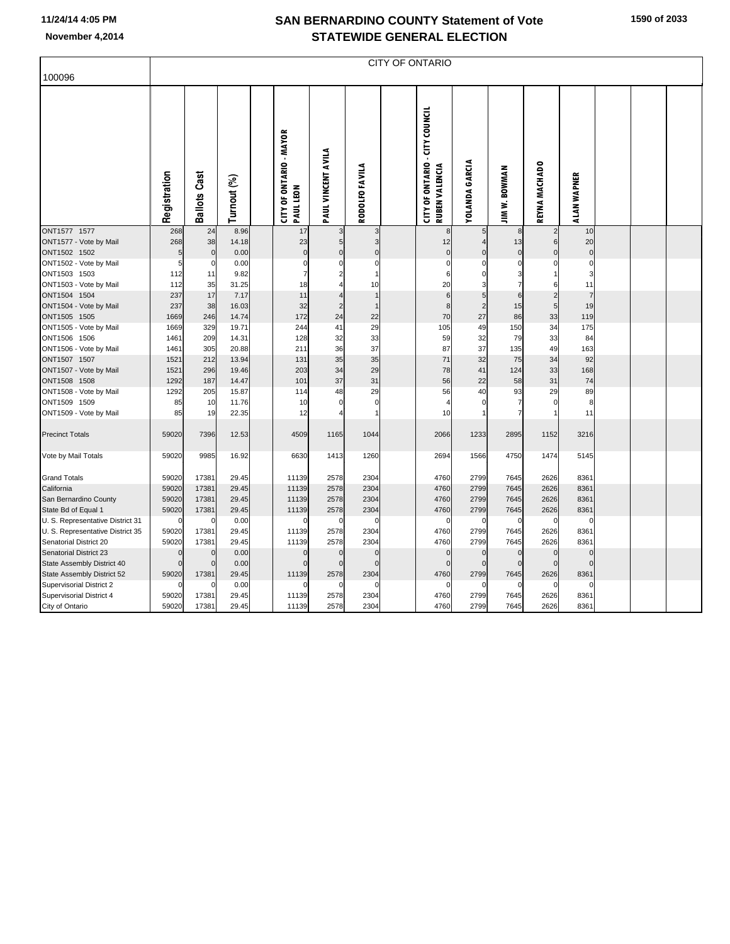|                                                         |              |                     |               |                                             |                         |                            | CITY OF ONTARIO                                         |                         |                      |                      |                            |  |  |
|---------------------------------------------------------|--------------|---------------------|---------------|---------------------------------------------|-------------------------|----------------------------|---------------------------------------------------------|-------------------------|----------------------|----------------------|----------------------------|--|--|
| 100096                                                  |              |                     |               |                                             |                         |                            |                                                         |                         |                      |                      |                            |  |  |
|                                                         | Registration | <b>Ballots Cast</b> | Turnout (%)   | <b>CITY OF ONTARIO - MAYOR</b><br>PAUL LEON | PAUL VINCENT AVILA      | RODOLFO FAVILA             | <b>CITY OF ONTARIO - CITY COUNCIL</b><br>RUBEN VALENCIA | YOLANDA GARCIA          | <b>JIM W. BOWMAN</b> | REYNA MACHADO        | ALAN WAPNER                |  |  |
| ONT1577 1577                                            | 268          | 24                  | 8.96          | 17                                          | 3                       | 3                          | 8                                                       | 5                       |                      | $\overline{2}$       | 10                         |  |  |
| ONT1577 - Vote by Mail                                  | 268          | 38                  | 14.18         | 23                                          | 5                       | 3                          | 12                                                      |                         | 13                   | 6                    | 20                         |  |  |
| ONT1502 1502<br>ONT1502 - Vote by Mail                  | 5            | $\pmb{0}$<br>0      | 0.00<br>0.00  | $\mathbf 0$<br>$\Omega$                     | $\pmb{0}$<br>$\Omega$   | $\mathbf 0$<br>$\mathbf 0$ | $\mathbf 0$<br>$\sqrt{ }$                               | $\mathbf 0$<br>$\Omega$ | $\Omega$<br>$\Omega$ | $\Omega$<br>$\Omega$ | $\mathbf 0$<br>$\mathbf 0$ |  |  |
| ONT1503 1503                                            | 112          | 11                  | 9.82          | 7                                           | $\overline{\mathbf{c}}$ | $\mathbf{1}$               | 6                                                       | $\Omega$                | 3                    |                      | 3                          |  |  |
| ONT1503 - Vote by Mail                                  | 112          | 35                  | 31.25         | 18                                          |                         | 10                         | 20                                                      |                         |                      | 6                    | 11                         |  |  |
| ONT1504 1504                                            | 237          | 17                  | 7.17          | 11                                          | $\sqrt{4}$              | $\mathbf{1}$               | $6\phantom{1}6$                                         | 5                       | 6                    | $\overline{2}$       | $\overline{7}$             |  |  |
| ONT1504 - Vote by Mail                                  | 237          | 38                  | 16.03         | 32                                          | $\overline{c}$          | $\overline{1}$             | 8                                                       | $\overline{2}$          | 15                   | 5 <sub>l</sub>       | 19                         |  |  |
| ONT1505 1505                                            | 1669         | 246                 | 14.74         | 172                                         | 24                      | 22                         | 70                                                      | 27                      | 86                   | 33                   | 119                        |  |  |
| ONT1505 - Vote by Mail                                  | 1669         | 329                 | 19.71         | 244                                         | 41                      | 29                         | 105                                                     | 49                      | 150                  | 34                   | 175                        |  |  |
| ONT1506 1506                                            | 1461         | 209                 | 14.31         | 128                                         | 32                      | 33                         | 59                                                      | 32                      | 79                   | 33                   | 84                         |  |  |
| ONT1506 - Vote by Mail                                  | 1461         | 305                 | 20.88         | 211                                         | 36                      | 37                         | 87                                                      | 37                      | 135                  | 49                   | 163                        |  |  |
| ONT1507 1507                                            | 1521         | 212                 | 13.94         | 131                                         | 35                      | 35                         | 71                                                      | 32                      | 75                   | 34                   | 92                         |  |  |
| ONT1507 - Vote by Mail                                  | 1521         | 296                 | 19.46         | 203                                         | 34                      | 29                         | 78                                                      | 41                      | 124                  | 33                   | 168                        |  |  |
| ONT1508 1508                                            | 1292         | 187                 | 14.47         | 101                                         | 37                      | 31                         | 56                                                      | 22                      | 58                   | 31                   | 74                         |  |  |
| ONT1508 - Vote by Mail                                  | 1292         | 205                 | 15.87         | 114                                         | 48                      | 29                         | 56                                                      | 40                      | 93                   | 29                   | 89                         |  |  |
| ONT1509 1509                                            | 85           | 10                  | 11.76         | 10                                          | 0<br>$\overline{4}$     | $\Omega$                   |                                                         |                         |                      | n                    | 8<br>11                    |  |  |
| ONT1509 - Vote by Mail                                  | 85           | 19                  | 22.35         | 12                                          |                         |                            | 10                                                      |                         |                      |                      |                            |  |  |
| <b>Precinct Totals</b>                                  | 59020        | 7396                | 12.53         | 4509                                        | 1165                    | 1044                       | 2066                                                    | 1233                    | 2895                 | 1152                 | 3216                       |  |  |
| Vote by Mail Totals                                     | 59020        | 9985                | 16.92         | 6630                                        | 1413                    | 1260                       | 2694                                                    | 1566                    | 4750                 | 1474                 | 5145                       |  |  |
| <b>Grand Totals</b>                                     | 59020        | 17381               | 29.45         | 11139                                       | 2578                    | 2304                       | 4760                                                    | 2799                    | 7645                 | 2626                 | 8361                       |  |  |
| California                                              | 59020        | 17381               | 29.45         | 11139                                       | 2578                    | 2304                       | 4760                                                    | 2799                    | 7645                 | 2626                 | 8361                       |  |  |
| San Bernardino County                                   | 59020        | 17381               | 29.45         | 11139                                       | 2578                    | 2304                       | 4760                                                    | 2799                    | 7645                 | 2626                 | 8361                       |  |  |
| State Bd of Equal 1<br>U. S. Representative District 31 | 59020        | 17381<br>0          | 29.45<br>0.00 | 11139<br>O                                  | 2578<br>0               | 2304                       | 4760<br>C                                               | 2799<br>0               | 7645<br>0            | 2626<br>$\Omega$     | 8361<br>O                  |  |  |
| U. S. Representative District 35                        | 59020        | 17381               | 29.45         | 11139                                       | 2578                    | 2304                       | 4760                                                    | 2799                    | 7645                 | 2626                 | 8361                       |  |  |
| Senatorial District 20                                  | 59020        | 17381               | 29.45         | 11139                                       | 2578                    | 2304                       | 4760                                                    | 2799                    | 7645                 | 2626                 | 8361                       |  |  |
| Senatorial District 23                                  |              | $\mathbf 0$         | 0.00          | 0                                           | $\Omega$                | $\mathbf 0$                | $\Omega$                                                | $\mathbf 0$             | $\Omega$             | $\Omega$             | $\Omega$                   |  |  |
| State Assembly District 40                              |              | $\Omega$            | 0.00          | $\mathbf 0$                                 | $\mathbf 0$             | $\Omega$                   | $\mathsf{C}$                                            | $\mathbf 0$             | $\Omega$             | $\Omega$             | $\Omega$                   |  |  |
| State Assembly District 52                              | 59020        | 17381               | 29.45         | 11139                                       | 2578                    | 2304                       | 4760                                                    | 2799                    | 7645                 | 2626                 | 8361                       |  |  |
| Supervisorial District 2                                |              |                     | 0.00          |                                             | $\Omega$                |                            | C                                                       | C                       |                      | $\Omega$             | $\Omega$                   |  |  |
| Supervisorial District 4                                | 59020        | 17381               | 29.45         | 11139                                       | 2578                    | 2304                       | 4760                                                    | 2799                    | 7645                 | 2626                 | 8361                       |  |  |
| City of Ontario                                         | 59020        | 17381               | 29.45         | 11139                                       | 2578                    | 2304                       | 4760                                                    | 2799                    | 7645                 | 2626                 | 8361                       |  |  |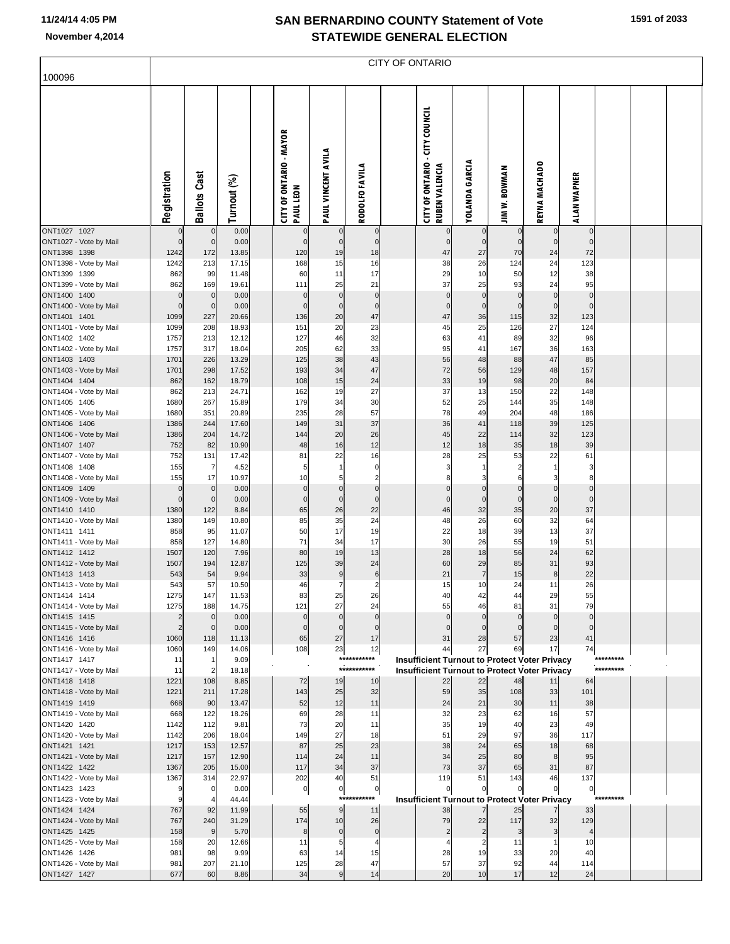|                                        |                            |                            |                |                                             |                        |                                      | <b>CITY OF ONTARIO</b>                                     |                                  |                            |                            |                            |           |  |
|----------------------------------------|----------------------------|----------------------------|----------------|---------------------------------------------|------------------------|--------------------------------------|------------------------------------------------------------|----------------------------------|----------------------------|----------------------------|----------------------------|-----------|--|
| 100096                                 |                            |                            |                |                                             |                        |                                      |                                                            |                                  |                            |                            |                            |           |  |
|                                        | Registration               | <b>Ballots Cast</b>        | Turnout (%)    | <b>CITY OF ONTARIO - MAYOR</b><br>PAUL LEON | PAUL VINCENT AVILA     | RODOLFO FAVILA                       | <b>CITY OF ONTARIO - CITY COUNCIL</b><br>RUBEN VALENCIA    | <b>YOLANDA GARCIA</b>            | <b>JIM W. BOWMAN</b>       | REYNA MACHADO              | <b>ALAN WAPNER</b>         |           |  |
| ONT1027 1027<br>ONT1027 - Vote by Mail | $\mathbf 0$<br>$\mathbf 0$ | $\pmb{0}$<br>$\mathbf 0$   | 0.00<br>0.00   | $\pmb{0}$<br>$\pmb{0}$                      | $\pmb{0}$<br>$\pmb{0}$ | $\pmb{0}$<br>$\mathbf 0$             | $\mathbf 0$<br>$\mathbf 0$                                 | $\overline{0}$<br>$\overline{0}$ | $\mathbf 0$<br>$\mathbf 0$ | $\mathbf 0$<br>$\mathbf 0$ | $\mathbf 0$<br>$\mathbf 0$ |           |  |
| ONT1398 1398                           | 1242                       | 172                        | 13.85          | 120                                         | 19                     | 18                                   | 47                                                         | 27                               | 70                         | 24                         | 72                         |           |  |
| ONT1398 - Vote by Mail                 | 1242                       | 213                        | 17.15          | 168                                         | 15                     | 16                                   | 38                                                         | 26                               | 124                        | 24                         | 123                        |           |  |
| ONT1399 1399                           | 862                        | 99                         | 11.48          | 60                                          | 11                     | 17                                   | 29                                                         | 10                               | 50                         | 12                         | 38                         |           |  |
| ONT1399 - Vote by Mail<br>ONT1400 1400 | 862<br>$\overline{0}$      | 169<br>$\mathbf 0$         | 19.61<br>0.00  | 111<br>$\mathbf 0$                          | 25<br>$\bf 0$          | 21<br>$\pmb{0}$                      | 37<br>$\mathbf 0$                                          | 25<br>$\overline{0}$             | 93<br>$\bf 0$              | 24<br>$\pmb{0}$            | 95<br>$\mathbf 0$          |           |  |
| ONT1400 - Vote by Mail                 | O                          | $\mathbf 0$                | 0.00           | $\mathbf{0}$                                | $\bf 0$                | $\mathbf 0$                          | 0                                                          | $\overline{0}$                   | $\mathbf 0$                | $\mathbf 0$                | 0                          |           |  |
| ONT1401 1401                           | 1099                       | 227                        | 20.66          | 136                                         | 20                     | 47                                   | 47                                                         | 36                               | 115                        | 32                         | 123                        |           |  |
| ONT1401 - Vote by Mail                 | 1099                       | 208                        | 18.93          | 151                                         | 20                     | 23                                   | 45                                                         | 25                               | 126                        | 27                         | 124                        |           |  |
| ONT1402 1402                           | 1757                       | 213                        | 12.12          | 127                                         | 46                     | 32                                   | 63                                                         | 41                               | 89                         | 32                         | 96                         |           |  |
| ONT1402 - Vote by Mail<br>ONT1403 1403 | 1757<br>1701               | 317<br>226                 | 18.04          | 205<br>125                                  | 62                     | 33                                   | 95                                                         | 41<br>48                         | 167<br>88                  | 36<br>47                   | 163                        |           |  |
| ONT1403 - Vote by Mail                 | 1701                       | 298                        | 13.29<br>17.52 | 193                                         | 38<br>34               | 43<br>47                             | 56<br>72                                                   | 56                               | 129                        | 48                         | 85<br>157                  |           |  |
| ONT1404 1404                           | 862                        | 162                        | 18.79          | 108                                         | 15                     | 24                                   | 33                                                         | 19                               | 98                         | 20                         | 84                         |           |  |
| ONT1404 - Vote by Mail                 | 862                        | 213                        | 24.71          | 162                                         | 19                     | 27                                   | 37                                                         | 13                               | 150                        | 22                         | 148                        |           |  |
| ONT1405 1405                           | 1680                       | 267                        | 15.89          | 179                                         | 34                     | 30                                   | 52                                                         | 25                               | 144                        | 35                         | 148                        |           |  |
| ONT1405 - Vote by Mail                 | 1680                       | 351<br>244                 | 20.89          | 235<br>149                                  | 28<br>31               | 57<br>37                             | 78                                                         | 49<br>41                         | 204<br>118                 | 48                         | 186<br>125                 |           |  |
| ONT1406 1406<br>ONT1406 - Vote by Mail | 1386<br>1386               | 204                        | 17.60<br>14.72 | 144                                         | 20                     | 26                                   | 36<br>45                                                   | 22                               | 114                        | 39<br>32                   | 123                        |           |  |
| ONT1407 1407                           | 752                        | 82                         | 10.90          | 48                                          | 16                     | 12                                   | 12                                                         | 18                               | 35                         | 18                         | 39                         |           |  |
| ONT1407 - Vote by Mail                 | 752                        | 131                        | 17.42          | 81                                          | 22                     | 16                                   | 28                                                         | 25                               | 53                         | 22                         | 61                         |           |  |
| ONT1408 1408                           | 155                        | $\overline{7}$             | 4.52           | 5                                           | $\mathbf{1}$           | $\pmb{0}$                            | 3                                                          | $\mathbf{1}$                     | 2                          | -1                         | 3                          |           |  |
| ONT1408 - Vote by Mail                 | 155                        | 17                         | 10.97          | 10<br>$\pmb{0}$                             | 5<br>$\bf 0$           | $\overline{\mathbf{c}}$<br>$\pmb{0}$ | 8                                                          | 3                                | 6<br>$\pmb{0}$             | 3                          | 8                          |           |  |
| ONT1409 1409<br>ONT1409 - Vote by Mail | $\overline{0}$<br>O        | $\mathbf 0$<br>$\mathbf 0$ | 0.00<br>0.00   | $\pmb{0}$                                   | $\bf 0$                | $\mathbf 0$                          | $\mathbf 0$<br>0                                           | $\overline{0}$<br>$\overline{0}$ | $\mathbf 0$                | $\pmb{0}$<br>$\mathbf 0$   | $\mathbf 0$<br>$\mathbf 0$ |           |  |
| ONT1410 1410                           | 1380                       | 122                        | 8.84           | 65                                          | 26                     | 22                                   | 46                                                         | 32                               | 35                         | 20                         | 37                         |           |  |
| ONT1410 - Vote by Mail                 | 1380                       | 149                        | 10.80          | 85                                          | 35                     | 24                                   | 48                                                         | 26                               | 60                         | 32                         | 64                         |           |  |
| ONT1411 1411                           | 858                        | 95                         | 11.07          | 50                                          | 17                     | 19                                   | 22                                                         | 18                               | 39                         | 13                         | 37                         |           |  |
| ONT1411 - Vote by Mail<br>ONT1412 1412 | 858<br>1507                | 127<br>120                 | 14.80          | 71<br>80                                    | 34<br>19               | 17                                   | 30<br>28                                                   | 26<br>18                         | 55<br>56                   | 19<br>24                   | 51<br>62                   |           |  |
| ONT1412 - Vote by Mail                 | 1507                       | 194                        | 7.96<br>12.87  | 125                                         | 39                     | 13<br>24                             | 60                                                         | 29                               | 85                         | 31                         | 93                         |           |  |
| ONT1413 1413                           | 543                        | 54                         | 9.94           | 33                                          |                        | $\,$ 6                               | 21                                                         | $\overline{7}$                   | 15                         | 8                          | 22                         |           |  |
| ONT1413 - Vote by Mail                 | 543                        | 57                         | 10.50          | 46                                          | $\frac{9}{7}$          | $\overline{c}$                       | 15                                                         | 10                               | 24                         | 11                         | 26                         |           |  |
| ONT1414 1414                           | 1275                       | 147                        | 11.53          | 83                                          | 25                     | 26                                   | 40                                                         | 42                               | 44                         | 29                         | 55                         |           |  |
| ONT1414 - Vote by Mail<br>ONT1415 1415 | 1275                       | 188<br>$\mathbf 0$         | 14.75<br>0.00  | 121<br>$\mathbf 0$                          | 27<br>$\mathbf 0$      | 24<br>$\Omega$                       | 55<br>$\mathbf{0}$                                         | 46<br>$\overline{0}$             | 81<br>$\mathbf{0}$         | 31<br>$\mathbf 0$          | 79<br>$\mathbf 0$          |           |  |
| ONT1415 - Vote by Mail                 | $\overline{2}$             | $\mathbf 0$                | 0.00           | $\mathbf 0$                                 | $\mathbf 0$            | $\mathbf 0$                          | $\Omega$                                                   | $\overline{0}$                   | $\mathbf{0}$               | $\mathbf 0$                | $\mathbf 0$                |           |  |
| ONT1416 1416                           | 1060                       | 118                        | 11.13          | 65                                          | 27                     | 17                                   | 31                                                         | 28                               | 57                         | 23                         | 41                         |           |  |
| ONT1416 - Vote by Mail                 | 1060                       | 149                        | 14.06          | 108                                         | 23                     | 12                                   | 44                                                         | 27                               | 69                         | 17                         | 74                         |           |  |
| ONT1417 1417                           | 11                         | $\mathbf{1}$               | 9.09           |                                             | ***:                   | ********                             | <b>Insufficient Turnout to Protect Voter Privacy</b>       |                                  |                            |                            |                            | ********* |  |
| ONT1417 - Vote by Mail<br>ONT1418 1418 | 11<br>1221                 | $\overline{c}$<br>108      | 18.18<br>8.85  | 72                                          | 19                     | ***********<br>10                    | <b>Insufficient Turnout to Protect Voter Privacy</b><br>22 | 22                               | 48                         | 11                         | 64                         |           |  |
| ONT1418 - Vote by Mail                 | 1221                       | 211                        | 17.28          | 143                                         | 25                     | 32                                   | 59                                                         | 35                               | 108                        | 33                         | 101                        |           |  |
| ONT1419 1419                           | 668                        | 90                         | 13.47          | 52                                          | 12                     | 11                                   | 24                                                         | 21                               | 30                         | 11                         | 38                         |           |  |
| ONT1419 - Vote by Mail                 | 668                        | 122                        | 18.26          | 69                                          | 28                     | 11                                   | 32                                                         | 23                               | 62                         | 16                         | 57                         |           |  |
| ONT1420 1420                           | 1142                       | 112                        | 9.81           | 73                                          | 20                     | 11                                   | 35                                                         | 19                               | 40                         | 23                         | 49                         |           |  |
| ONT1420 - Vote by Mail<br>ONT1421 1421 | 1142<br>1217               | 206<br>153                 | 18.04<br>12.57 | 149<br>87                                   | 27<br>25               | 18<br>23                             | 51<br>38                                                   | 29<br>24                         | 97<br>65                   | 36<br>18                   | 117<br>68                  |           |  |
| ONT1421 - Vote by Mail                 | 1217                       | 157                        | 12.90          | 114                                         | 24                     | 11                                   | 34                                                         | 25                               | 80                         | 8                          | 95                         |           |  |
| ONT1422 1422                           | 1367                       | 205                        | 15.00          | 117                                         | 34                     | 37                                   | 73                                                         | 37                               | 65                         | 31                         | 87                         |           |  |
| ONT1422 - Vote by Mail                 | 1367                       | 314                        | 22.97          | 202                                         | 40                     | 51                                   | 119                                                        | 51                               | 143                        | 46                         | 137                        |           |  |
| ONT1423 1423                           | o                          | $\mathbf 0$                | 0.00           | 0                                           | $\mathbf 0$            | $\pmb{0}$                            | 0                                                          | $\overline{0}$                   | 0                          | 0                          | $\overline{0}$             |           |  |
| ONT1423 - Vote by Mail                 | 9                          | $\overline{4}$             | 44.44          |                                             | $***$<br>$\mathsf g$   | ****                                 | <b>Insufficient Turnout to Protect Voter Privacy</b>       | $\overline{7}$                   |                            |                            |                            | ********* |  |
| ONT1424 1424<br>ONT1424 - Vote by Mail | 767<br>767                 | 92<br>240                  | 11.99<br>31.29 | 55<br>174                                   | 10                     | 11<br>26                             | 38<br>79                                                   | 22                               | 25<br>117                  | 32                         | 33<br>129                  |           |  |
| ONT1425 1425                           | 158                        | $\overline{9}$             | 5.70           | 8                                           | $\pmb{0}$              | $\pmb{0}$                            | 2                                                          | 2                                | 3                          | 3                          | $\overline{4}$             |           |  |
| ONT1425 - Vote by Mail                 | 158                        | 20                         | 12.66          | 11                                          | 5                      | $\overline{4}$                       | 4                                                          | $\overline{2}$                   | 11                         | $\mathbf{1}$               | 10                         |           |  |
| ONT1426 1426                           | 981                        | 98                         | 9.99           | 63                                          | 14                     | 15                                   | 28                                                         | 19                               | 33                         | 20                         | 40                         |           |  |
| ONT1426 - Vote by Mail                 | 981<br>677                 | 207<br>60                  | 21.10<br>8.86  | 125<br>34                                   | 28<br>$\boldsymbol{9}$ | 47                                   | 57<br>20                                                   | 37<br>10                         | 92<br>17                   | 44<br>12                   | 114                        |           |  |
| ONT1427 1427                           |                            |                            |                |                                             |                        | 14                                   |                                                            |                                  |                            |                            | 24                         |           |  |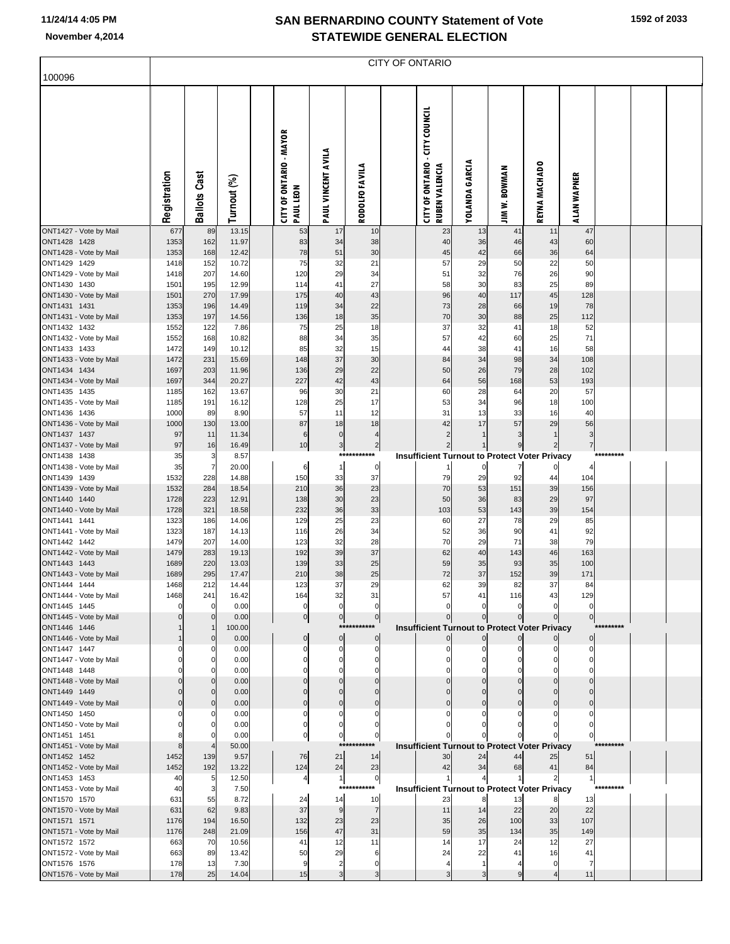|                                        |              |                     |                |                                      |                                |                                   | CITY OF ONTARIO                                                |                       |                                                                        |                                  |                     |            |  |
|----------------------------------------|--------------|---------------------|----------------|--------------------------------------|--------------------------------|-----------------------------------|----------------------------------------------------------------|-----------------------|------------------------------------------------------------------------|----------------------------------|---------------------|------------|--|
| 100096                                 |              |                     |                |                                      |                                |                                   |                                                                |                       |                                                                        |                                  |                     |            |  |
|                                        | Registration | <b>Ballots Cast</b> | Turnout (%)    | CITY OF ONTARIO - MAYOR<br>PAUL LEON | PAUL VINCENT AVILA             | <b>RODOLFO FAVILA</b>             | <b>CITY OF ONTARIO - CITY COUNCIL</b><br><b>RUBEN VALENCIA</b> | <b>YOLANDA GARCIA</b> | <b>JIM W. BOWMAN</b>                                                   | REYNA MACHADO                    | ALAN WAPNER         |            |  |
| ONT1427 - Vote by Mail                 | 677          | 89                  | 13.15          | 53                                   | 17                             | 10                                | 23                                                             | 13                    | 41                                                                     | 11                               | 47                  |            |  |
| ONT1428 1428<br>ONT1428 - Vote by Mail | 1353<br>1353 | 162<br>168          | 11.97<br>12.42 | 83<br>78                             | 34<br>51                       | 38<br>30                          | 40<br>45                                                       | 36<br>42              | 46<br>66                                                               | 43<br>36                         | 60<br>64            |            |  |
| ONT1429 1429                           | 1418         | 152                 | 10.72          | 75                                   | 32                             | 21                                | 57                                                             | 29                    | 50                                                                     | 22                               | 50                  |            |  |
| ONT1429 - Vote by Mail                 | 1418         | 207                 | 14.60          | 120                                  | 29                             | 34                                | 51                                                             | 32                    | 76                                                                     | 26                               | 90                  |            |  |
| ONT1430 1430<br>ONT1430 - Vote by Mail | 1501<br>1501 | 195<br>270          | 12.99<br>17.99 | 114<br>175                           | 41<br>40                       | 27<br>43                          | 58<br>96                                                       | 30<br>40              | 83<br>117                                                              | 25<br>45                         | 89<br>128           |            |  |
| ONT1431 1431                           | 1353         | 196                 | 14.49          | 119                                  | 34                             | 22                                | 73                                                             | 28                    | 66                                                                     | 19                               | 78                  |            |  |
| ONT1431 - Vote by Mail                 | 1353         | 197                 | 14.56          | 136                                  | 18                             | 35                                | 70                                                             | 30                    | 88                                                                     | 25                               | 112                 |            |  |
| ONT1432 1432                           | 1552         | 122                 | 7.86           | 75                                   | 25                             | 18                                | 37                                                             | 32                    | 41                                                                     | 18                               | 52                  |            |  |
| ONT1432 - Vote by Mail<br>ONT1433 1433 | 1552<br>1472 | 168<br>149          | 10.82<br>10.12 | 88<br>85                             | 34<br>32                       | 35<br>15                          | 57<br>44                                                       | 42<br>38              | 60<br>41                                                               | 25<br>16                         | 71<br>58            |            |  |
| ONT1433 - Vote by Mail                 | 1472         | 231                 | 15.69          | 148                                  | 37                             | 30                                | 84                                                             | 34                    | 98                                                                     | 34                               | 108                 |            |  |
| ONT1434 1434                           | 1697         | 203                 | 11.96          | 136                                  | 29                             | 22                                | 50                                                             | 26                    | 79                                                                     | 28                               | 102                 |            |  |
| ONT1434 - Vote by Mail<br>ONT1435 1435 | 1697<br>1185 | 344<br>162          | 20.27<br>13.67 | 227<br>96                            | 42<br>30                       | 43<br>21                          | 64<br>60                                                       | 56<br>28              | 168<br>64                                                              | 53<br>20                         | 193<br>57           |            |  |
| ONT1435 - Vote by Mail                 | 1185         | 191                 | 16.12          | 128                                  | 25                             | 17                                | 53                                                             | 34                    | 96                                                                     | 18                               | 100                 |            |  |
| ONT1436 1436                           | 1000         | 89                  | 8.90           | 57                                   | 11                             | 12                                | 31                                                             | 13                    | 33                                                                     | 16                               | 40                  |            |  |
| ONT1436 - Vote by Mail                 | 1000         | 130                 | 13.00          | 87                                   | 18                             | 18                                | 42                                                             | 17                    | 57                                                                     | 29                               | 56                  |            |  |
| ONT1437 1437<br>ONT1437 - Vote by Mail | 97<br>97     | 11<br>16            | 11.34<br>16.49 | $\,6$<br>10                          | $\overline{0}$<br>$\mathbf{3}$ | $\overline{4}$<br>$\overline{2}$  | $\overline{2}$<br>$\mathbf{2}$                                 | $\mathbf{1}$<br>1     | 3<br>9                                                                 | $\overline{1}$<br>$\overline{c}$ | 3<br>$\overline{7}$ |            |  |
| ONT1438 1438                           | 35           | 3                   | 8.57           |                                      |                                | ***********                       |                                                                |                       | <b>Insufficient Turnout to Protect Voter Privacy</b>                   |                                  |                     |            |  |
| ONT1438 - Vote by Mail                 | 35           | $\overline{7}$      | 20.00          | 6                                    | $\mathbf{1}$                   | $\circ$                           |                                                                | 0                     | 7                                                                      |                                  |                     |            |  |
| ONT1439 1439                           | 1532         | 228                 | 14.88          | 150                                  | 33                             | 37                                | 79<br>70                                                       | 29                    | 92<br>151                                                              | 44                               | 104                 |            |  |
| ONT1439 - Vote by Mail<br>ONT1440 1440 | 1532<br>1728 | 284<br>223          | 18.54<br>12.91 | 210<br>138                           | 36<br>30                       | 23<br>23                          | 50                                                             | 53<br>36              | 83                                                                     | 39<br>29                         | 156<br>97           |            |  |
| ONT1440 - Vote by Mail                 | 1728         | 321                 | 18.58          | 232                                  | 36                             | 33                                | 103                                                            | 53                    | 143                                                                    | 39                               | 154                 |            |  |
| ONT1441 1441                           | 1323         | 186                 | 14.06          | 129                                  | 25                             | 23                                | 60                                                             | 27                    | 78                                                                     | 29                               | 85                  |            |  |
| ONT1441 - Vote by Mail<br>ONT1442 1442 | 1323<br>1479 | 187<br>207          | 14.13<br>14.00 | 116<br>123                           | 26<br>32                       | 34<br>28                          | 52<br>70                                                       | 36<br>29              | 90<br>71                                                               | 41<br>38                         | 92<br>79            |            |  |
| ONT1442 - Vote by Mail                 | 1479         | 283                 | 19.13          | 192                                  | 39                             | 37                                | 62                                                             | 40                    | 143                                                                    | 46                               | 163                 |            |  |
| ONT1443 1443                           | 1689         | 220                 | 13.03          | 139                                  | 33                             | 25                                | 59                                                             | 35                    | 93                                                                     | 35                               | 100                 |            |  |
| ONT1443 - Vote by Mail                 | 1689         | 295                 | 17.47          | 210                                  | 38                             | 25                                | 72                                                             | 37                    | 152                                                                    | 39                               | 171                 |            |  |
| ONT1444 1444<br>ONT1444 - Vote by Mail | 1468<br>1468 | 212<br>241          | 14.44<br>16.42 | 123<br>164                           | 37<br>32                       | 29<br>31                          | 62<br>57                                                       | 39<br>41              | 82<br>116                                                              | 37<br>43                         | 84<br>129           |            |  |
| ONT1445 1445                           |              |                     | 0.00           | $\mathbf 0$                          | $\mathbf{0}$                   | $\overline{0}$                    | $\mathbf 0$                                                    | $\mathbf 0$           | $\mathbf 0$                                                            | $\Omega$                         | $\mathbf 0$         |            |  |
| ONT1445 - Vote by Mail                 |              |                     | 0.00           | $\overline{0}$                       | $\overline{0}$                 | 0                                 |                                                                | $\mathbf{0}$          | $\pmb{0}$                                                              | $\mathbf 0$                      | $\overline{0}$      |            |  |
| ONT1446 1446<br>ONT1446 - Vote by Mail |              | $\Omega$            | 100.00<br>0.00 | $\mathbf 0$                          | $\overline{0}$                 | ***********<br>$\overline{0}$     |                                                                | $\pmb{0}$             | <b>Insufficient Turnout to Protect Voter Privacy</b><br>$\overline{0}$ |                                  | $\overline{0}$      | ********** |  |
| ONT1447 1447                           |              |                     | 0.00           | C                                    | $\Omega$                       | 0                                 | 0                                                              | 0                     | 0                                                                      |                                  | $\Omega$            |            |  |
| ONT1447 - Vote by Mail                 |              |                     | 0.00           |                                      | $\Omega$                       | $\mathbf 0$                       |                                                                |                       | 0                                                                      |                                  |                     |            |  |
| ONT1448 1448<br>ONT1448 - Vote by Mail |              | n                   | 0.00<br>0.00   |                                      |                                |                                   |                                                                |                       | $\mathbf 0$<br>$\pmb{0}$                                               | $\Omega$                         |                     |            |  |
| ONT1449 1449                           |              | $\Omega$            | 0.00           |                                      |                                | $\Omega$                          |                                                                | $\Omega$              | $\pmb{0}$                                                              | $\Omega$                         |                     |            |  |
| ONT1449 - Vote by Mail                 |              | $\Omega$            | 0.00           |                                      | $\Omega$                       | $\mathbf 0$                       |                                                                | $\mathbf{0}$          | $\pmb{0}$                                                              | $\Omega$                         |                     |            |  |
| ONT1450 1450                           |              |                     | 0.00           | $\Omega$                             | $\Omega$                       | $\Omega$                          |                                                                |                       | $\Omega$                                                               |                                  | C                   |            |  |
| ONT1450 - Vote by Mail<br>ONT1451 1451 |              |                     | 0.00<br>0.00   | 0<br>$\pmb{0}$                       | $\overline{0}$                 | 0<br>$\overline{0}$               |                                                                |                       |                                                                        |                                  | $\Omega$            |            |  |
| ONT1451 - Vote by Mail                 |              |                     | 50.00          |                                      | $***$                          |                                   |                                                                |                       | <b>Insufficient Turnout to Protect Voter Privacy</b>                   |                                  |                     | *********  |  |
| ONT1452 1452                           | 1452         | 139                 | 9.57           | 76                                   | 21                             | 14                                | 30                                                             | 24                    | 44                                                                     | 25                               | 51                  |            |  |
| ONT1452 - Vote by Mail                 | 1452         | 192                 | 13.22          | 124                                  | 24                             | 23                                | 42                                                             | 34                    | 68                                                                     | 41                               | 84                  |            |  |
| ONT1453 1453<br>ONT1453 - Vote by Mail | 40<br>40     | 5<br>3              | 12.50<br>7.50  | 4                                    | 1                              | $\overline{0}$<br>********<br>*** |                                                                |                       | <b>Insufficient Turnout to Protect Voter Privacy</b>                   |                                  |                     | *********  |  |
| ONT1570 1570                           | 631          | 55                  | 8.72           | 24                                   | 14                             | 10                                | 23                                                             | 8                     | 13                                                                     |                                  | 13                  |            |  |
| ONT1570 - Vote by Mail                 | 631          | 62                  | 9.83           | 37                                   | 9                              | $\overline{7}$                    | 11                                                             | 14                    | 22                                                                     | 20                               | 22                  |            |  |
| ONT1571 1571<br>ONT1571 - Vote by Mail | 1176<br>1176 | 194<br>248          | 16.50<br>21.09 | 132<br>156                           | 23<br>47                       | 23<br>31                          | 35<br>59                                                       | 26<br>35              | 100<br>134                                                             | 33<br>35                         | 107<br>149          |            |  |
| ONT1572 1572                           | 663          | 70                  | 10.56          | 41                                   | 12                             | 11                                | 14                                                             | 17                    | 24                                                                     | 12                               | 27                  |            |  |
| ONT1572 - Vote by Mail                 | 663          | 89                  | 13.42          | 50                                   | 29                             | 6                                 | 24                                                             | 22                    | 41                                                                     | 16                               | 41                  |            |  |
| ONT1576 1576                           | 178          | 13                  | 7.30           | 9                                    | $\overline{2}$                 | $\mathbf 0$                       | 4                                                              | $\mathbf{1}$          | 4                                                                      | $\Omega$                         | 7                   |            |  |
| ONT1576 - Vote by Mail                 | 178          | 25                  | 14.04          | 15                                   | 3                              |                                   | 3                                                              |                       | 9                                                                      |                                  | 11                  |            |  |